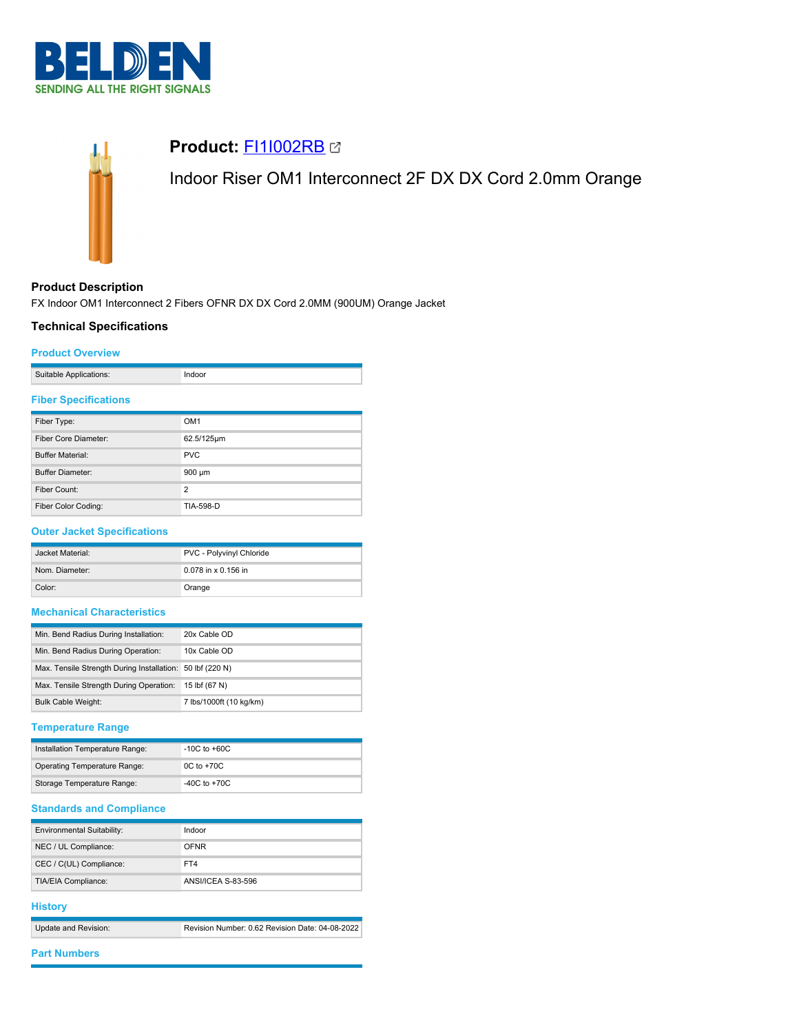



# **Product:** [FI1I002RB](https://catalog.belden.com/index.cfm?event=pd&p=PF_FI1I002RB&tab=downloads)

Indoor Riser OM1 Interconnect 2F DX DX Cord 2.0mm Orange

# **Product Description**

FX Indoor OM1 Interconnect 2 Fibers OFNR DX DX Cord 2.0MM (900UM) Orange Jacket

## **Technical Specifications**

#### **Product Overview**

|  | Suitable Applications: |  |
|--|------------------------|--|
|--|------------------------|--|

### **Fiber Specifications**

| Fiber Type:             | OM <sub>1</sub> |
|-------------------------|-----------------|
| Fiber Core Diameter:    | 62.5/125µm      |
| <b>Buffer Material:</b> | <b>PVC</b>      |
| <b>Buffer Diameter:</b> | 900 µm          |
| Fiber Count:            | $\overline{2}$  |
| Fiber Color Coding:     | TIA-598-D       |

# **Outer Jacket Specifications**

| Jacket Material: | PVC - Polyvinyl Chloride |
|------------------|--------------------------|
| Nom. Diameter:   | 0.078 in x 0.156 in      |
| Color:           | Orange                   |

# **Mechanical Characteristics**

| Min. Bend Radius During Installation:                     | 20x Cable OD            |
|-----------------------------------------------------------|-------------------------|
| Min. Bend Radius During Operation:                        | 10x Cable OD            |
| Max. Tensile Strength During Installation: 50 lbf (220 N) |                         |
| Max. Tensile Strength During Operation:                   | 15 lbf (67 N)           |
| <b>Bulk Cable Weight:</b>                                 | 7 lbs/1000ft (10 kg/km) |

#### **Temperature Range**

| Installation Temperature Range: | $-10C$ to $+60C$ |
|---------------------------------|------------------|
| Operating Temperature Range:    | $0C$ to $+70C$   |
| Storage Temperature Range:      | $-40C$ to $+70C$ |

# **Standards and Compliance**

| Environmental Suitability: | Indoor             |
|----------------------------|--------------------|
| NEC / UL Compliance:       | <b>OFNR</b>        |
| CEC / C(UL) Compliance:    | FT4                |
| TIA/EIA Compliance:        | ANSI/ICEA S-83-596 |

#### **History**

| Update and Revision: | Revision Number: 0.62 Revision Date: 04-08-2022 |
|----------------------|-------------------------------------------------|

## **Part Numbers**